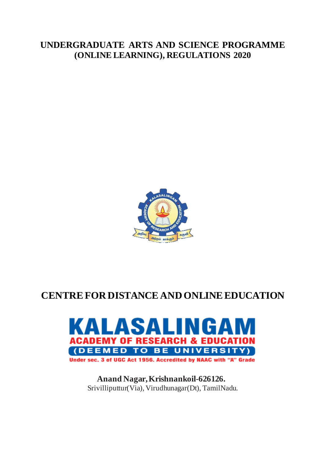## **UNDERGRADUATE ARTS AND SCIENCE PROGRAMME (ONLINE LEARNING), REGULATIONS 2020**



# **CENTRE FOR DISTANCE AND ONLINE EDUCATION**



**Anand Nagar, Krishnankoil-626126.** Srivilliputtur(Via), Virudhunagar(Dt), TamilNadu.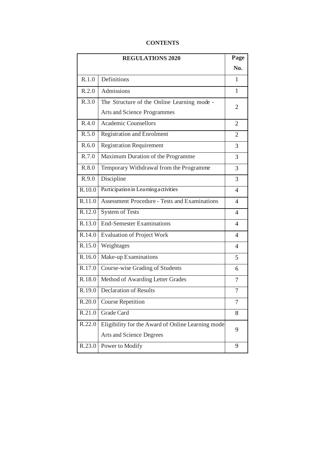## **CONTENTS**

| <b>REGULATIONS 2020</b> |                                                      |                          |
|-------------------------|------------------------------------------------------|--------------------------|
|                         |                                                      | No.                      |
| R.1.0                   | Definitions                                          | $\mathbf{1}$             |
| R.2.0                   | Admissions                                           | 1                        |
| $\overline{R.3.0}$      | The Structure of the Online Learning mode -          | 2                        |
|                         | <b>Arts and Science Programmes</b>                   |                          |
| R.4.0                   | <b>Academic Counsellors</b>                          | 2                        |
| R.5.0                   | <b>Registration and Enrolment</b>                    | 2                        |
| R.6.0                   | <b>Registration Requirement</b>                      | 3                        |
| R.7.0                   | Maximum Duration of the Programme                    | 3                        |
| R.8.0                   | Temporary Withdrawal from the Programme              | 3                        |
| R.9.0                   | Discipline                                           | 3                        |
| R.10.0                  | Participation in Learning activities                 | $\overline{\mathcal{A}}$ |
| R.11.0                  | <b>Assessment Procedure - Tests and Examinations</b> | $\overline{4}$           |
| R.12.0                  | <b>System of Tests</b>                               | $\overline{\mathcal{A}}$ |
| $\overline{R.13.0}$     | <b>End-Semester Examinations</b>                     | $\overline{4}$           |
| R.14.0                  | <b>Evaluation of Project Work</b>                    | $\overline{\mathcal{A}}$ |
| R.15.0                  | Weightages                                           | 4                        |
| R.16.0                  | Make-up Examinations                                 | 5                        |
| R.17.0                  | Course-wise Grading of Students                      | 6                        |
| R.18.0                  | Method of Awarding Letter Grades                     | 7                        |
| R.19.0                  | <b>Declaration of Results</b>                        | 7                        |
| R.20.0                  | <b>Course Repetition</b>                             | 7                        |
| R.21.0                  | Grade Card                                           | 8                        |
| R.22.0                  | Eligibility for the Award of Online Learning mode    | 9                        |
|                         | Arts and Science Degrees                             |                          |
| R.23.0                  | Power to Modify                                      | 9                        |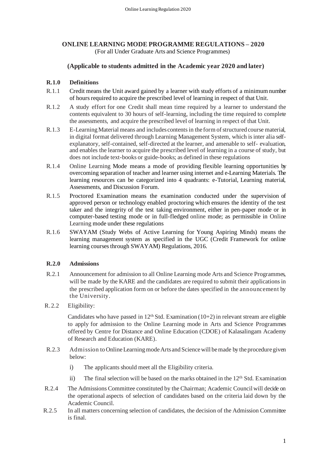## **ONLINE LEARNING MODE PROGRAMME REGULATIONS – 2020** (For all Under Graduate Arts and Science Programmes)

## **(Applicable to students admitted in the Academic year 2020 and later)**

## **R.1.0 Definitions**

- R.1.1 Credit means the Unit award gained by a learner with study efforts of a minimum number of hours required to acquire the prescribed level of learning in respect of that Unit.
- R.1.2 A study effort for one Credit shall mean time required by a learner to understand the contents equivalent to 30 hours of self-learning, including the time required to complete the assessments, and acquire the prescribed level of learning in respect of that Unit.
- R.1.3 E-Learning Material means and includes contents in the form of structured course material, in digital format delivered through Learning Management System, which is inter alia selfexplanatory, self-contained, self-directed at the learner, and amenable to self- evaluation, and enables the learner to acquire the prescribed level of learning in a course of study, but does not include text-books or guide-books; as defined in these regulations
- R.1.4 Online Learning Mode means a mode of providing flexible learning opportunities by overcoming separation of teacher and learner using internet and e-Learning Materials. The learning resources can be categorized into 4 quadrants: e-Tutorial, Learning material, Assessments, and Discussion Forum.
- R.1.5 Proctored Examination means the examination conducted under the supervision of approved person or technology enabled proctoring which ensures the identity of the test taker and the integrity of the test taking environment, either in pen-paper mode or in computer-based testing mode or in full-fledged online mode; as permissible in Online Learning mode under these regulations
- R.1.6 SWAYAM (Study Webs of Active Learning for Young Aspiring Minds) means the learning management system as specified in the UGC (Credit Framework for online learning courses through SWAYAM) Regulations, 2016.

## **R.2.0 Admissions**

- R.2.1 Announcement for admission to all Online Learning mode Arts and Science Programmes, will be made by the KARE and the candidates are required to submit their applications in the prescribed application form on or before the dates specified in the announcement by the University.
- R.2.2 Eligibility:

Candidates who have passed in  $12<sup>th</sup>$  Std. Examination (10+2) in relevant stream are eligible to apply for admission to the Online Learning mode in Arts and Science Programmes offered by Centre for Distance and Online Education (CDOE) of Kalasalingam Academy of Research and Education (KARE).

- R.2.3 Admission to Online Learning mode Arts and Science will be made by the procedure given below:
	- i) The applicants should meet all the Eligibility criteria.
	- ii) The final selection will be based on the marks obtained in the  $12<sup>th</sup>$  Std. Examination
- R.2.4 The Admissions Committee constituted by the Chairman; Academic Council will decide on the operational aspects of selection of candidates based on the criteria laid down by the Academic Council.
- R.2.5 In all matters concerning selection of candidates, the decision of the Admission Committee is final.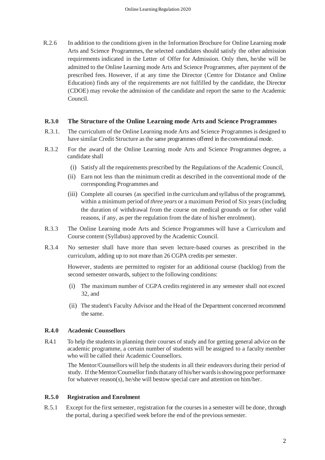R.2.6 In addition to the conditions given in the Information Brochure for Online Learning mode Arts and Science Programmes, the selected candidates should satisfy the other admission requirements indicated in the Letter of Offer for Admission. Only then, he/she will be admitted to the Online Learning mode Arts and Science Programmes, after payment of the prescribed fees. However, if at any time the Director (Centre for Distance and Online Education) finds any of the requirements are not fulfilled by the candidate, the Director (CDOE) may revoke the admission of the candidate and report the same to the Academic Council.

## **R.3.0 The Structure of the Online Learning mode Arts and Science Programmes**

- R.3.1. The curriculum of the Online Learning mode Arts and Science Programmes is designed to have similar Credit Structure as the same programmes offered in the conventional mode.
- R.3.2 For the award of the Online Learning mode Arts and Science Programmes degree, a candidate shall
	- (i) Satisfy all the requirements prescribed by the Regulations of the Academic Council,
	- (ii) Earn not less than the minimum credit as described in the conventional mode of the corresponding Programmes and
	- (iii) Complete all courses (as specified in the curriculum and syllabus of the programme), within a minimum period of *three years* or a maximum Period of Six years (including the duration of withdrawal from the course on medical grounds or for other valid reasons, if any, as per the regulation from the date of his/her enrolment).
- R.3.3 The Online Learning mode Arts and Science Programmes will have a Curriculum and Course content (Syllabus) approved by the Academic Council.
- R.3.4 No semester shall have more than seven lecture-based courses as prescribed in the curriculum, adding up to not more than 26 CGPA credits per semester.

However, students are permitted to register for an additional course (backlog) from the second semester onwards, subject to the following conditions:

- (i) The maximum number of CGPA credits registered in any semester shall not exceed 32, and
- (ii) The student's Faculty Advisor and the Head of the Department concerned recommend the same.

## **R.4.0 Academic Counsellors**

R.4.1 To help the students in planning their courses of study and for getting general advice on the academic programme, a certain number of students will be assigned to a faculty member who will be called their Academic Counsellors.

The Mentor/Counsellors will help the students in all their endeavors during their period of study. If the Mentor/Counsellor finds that any of his/her wards is showing poor performance for whatever reason(s), he/she will bestow special care and attention on him/her.

## **R.5.0 Registration and Enrolment**

R.5.1 Except for the first semester, registration for the courses in a semester will be done, through the portal, during a specified week before the end of the previous semester.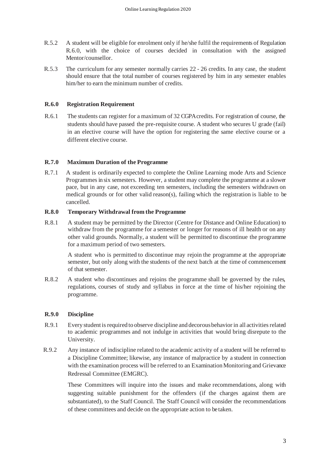- R.5.2 A student will be eligible for enrolment only if he/she fulfil the requirements of Regulation R.6.0, with the choice of courses decided in consultation with the assigned Mentor/counsellor.
- R.5.3 The curriculum for any semester normally carries 22 26 credits. In any case, the student should ensure that the total number of courses registered by him in any semester enables him/her to earn the minimum number of credits.

## **R.6.0 Registration Requirement**

R.6.1 The students can register for a maximum of 32 CGPA credits. For registration of course, the students should have passed the pre-requisite course. A student who secures U grade (fail) in an elective course will have the option for registering the same elective course or a different elective course.

## **R.7.0 Maximum Duration of the Programme**

R.7.1 A student is ordinarily expected to complete the Online Learning mode Arts and Science Programmes in six semesters. However, a student may complete the programme at a slower pace, but in any case, not exceeding ten semesters, including the semesters withdrawn on medical grounds or for other valid reason(s), failing which the registration is liable to be cancelled.

## **R.8.0 Temporary Withdrawal from the Programme**

R.8.1 A student may be permitted by the Director (Centre for Distance and Online Education) to withdraw from the programme for a semester or longer for reasons of ill health or on any other valid grounds. Normally, a student will be permitted to discontinue the programme for a maximum period of two semesters.

A student who is permitted to discontinue may rejoin the programme at the appropriate semester, but only along with the students of the next batch at the time of commencement of that semester.

R.8.2 A student who discontinues and rejoins the programme shall be governed by the rules, regulations, courses of study and syllabus in force at the time of his/her rejoining the programme.

## **R.9.0 Discipline**

- R.9.1 Every student is required to observe discipline and decorous behavior in all activities related to academic programmes and not indulge in activities that would bring disrepute to the University.
- R.9.2 Any instance of indiscipline related to the academic activity of a student will be referred to a Discipline Committee; likewise, any instance of malpractice by a student in connection with the examination process will be referred to an Examination Monitoring and Grievance Redressal Committee (EMGRC).

These Committees will inquire into the issues and make recommendations, along with suggesting suitable punishment for the offenders (if the charges against them are substantiated), to the Staff Council. The Staff Council will consider the recommendations of these committees and decide on the appropriate action to be taken.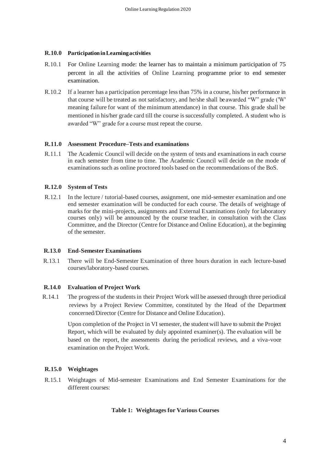#### **R.10.0 Participation in Learning activities**

- R.10.1 For Online Learning mode: the learner has to maintain a minimum participation of 75 percent in all the activities of Online Learning programme prior to end semester examination.
- R.10.2 If a learner has a participation percentage lessthan 75% in a course, his/her performance in that course will be treated as not satisfactory, and he/she shall be awarded "W" grade ('W' meaning failure for want of the minimum attendance) in that course. This grade shall be mentioned in his/her grade card till the course is successfully completed. A student who is awarded "W" grade for a course must repeat the course.

#### **R.11.0 Assessment Procedure–Tests and examinations**

R.11.1 The Academic Council will decide on the system of tests and examinations in each course in each semester from time to time. The Academic Council will decide on the mode of examinations such as online proctored tools based on the recommendations of the BoS.

#### **R.12.0 System of Tests**

R.12.1 In the lecture / tutorial-based courses, assignment, one mid-semester examination and one end semester examination will be conducted for each course. The details of weightage of marks for the mini-projects, assignments and External Examinations (only for laboratory courses only) will be announced by the course teacher, in consultation with the Class Committee, and the Director (Centre for Distance and Online Education), at the beginning of the semester.

#### **R.13.0 End-Semester Examinations**

R.13.1 There will be End-Semester Examination of three hours duration in each lecture-based courses/laboratory-based courses.

#### **R.14.0 Evaluation of Project Work**

 R.14.1 The progress of the students in their Project Work will be assessed through three periodical reviews by a Project Review Committee, constituted by the Head of the Department concerned/Director (Centre for Distance and Online Education).

> Upon completion of the Project in VI semester, the student will have to submit the Project Report, which will be evaluated by duly appointed examiner(s). The evaluation will be based on the report, the assessments during the periodical reviews, and a viva-voce examination on the Project Work.

## **R.15.0 Weightages**

R.15.1 Weightages of Mid-semester Examinations and End Semester Examinations for the different courses:

#### **Table 1: Weightages for Various Courses**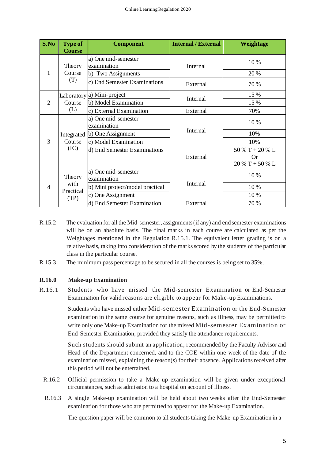| S.No                     | <b>Type of</b><br><b>Course</b>     | <b>Component</b>                   | <b>Internal / External</b> | Weightage         |
|--------------------------|-------------------------------------|------------------------------------|----------------------------|-------------------|
| 1                        | Theory<br>Course<br>(T)             | a) One mid-semester<br>examination | Internal                   | 10%               |
|                          |                                     | b) Two Assignments                 |                            | 20 %              |
|                          |                                     | c) End Semester Examinations       | External                   | 70 %              |
|                          | Course<br>(L)                       | Laboratory a) Mini-project         | Internal                   | 15 %              |
| $\overline{2}$           |                                     | b) Model Examination               |                            | 15 %              |
|                          |                                     | c) External Examination            | External                   | 70%               |
|                          | Integrated<br>Course<br>(IC)        | a) One mid-semester<br>examination |                            | 10%               |
|                          |                                     | b) One Assignment                  | Internal                   | 10%               |
| 3                        |                                     | c) Model Examination               |                            | 10%               |
|                          |                                     | d) End Semester Examinations       |                            | 50 % T + 20 % L   |
|                          |                                     |                                    | External                   | Or                |
|                          |                                     |                                    |                            | $20\%$ T + 50 % L |
| $\overline{\mathcal{A}}$ | Theory<br>with<br>Practical<br>(TP) | a) One mid-semester<br>examination |                            | 10%               |
|                          |                                     | b) Mini project/model practical    | Internal                   | 10%               |
|                          |                                     | c) One Assignment                  |                            | 10%               |
|                          |                                     | d) End Semester Examination        | External                   | 70 %              |

- R.15.2 The evaluation for all the Mid-semester, assignments (if any) and end semester examinations will be on an absolute basis. The final marks in each course are calculated as per the Weightages mentioned in the Regulation R.15.1. The equivalent letter grading is on a relative basis, taking into consideration of the marks scored by the students of the particular class in the particular course.
- R.15.3 The minimum pass percentage to be secured in all the courses is being set to 35%.

## **R.16.0 Make-up Examination**

R.16.1 Students who have missed the Mid-semester Examination or End-Semester Examination for valid reasons are eligible to appear for Make-up Examinations.

> Students who have missed either Mid-semester Examination or the End-Semester examination in the same course for genuine reasons, such as illness, may be permitted to write only one Make-up Examination for the missed Mid-semester Examination or End-Semester Examination, provided they satisfy the attendance requirements.

> Such students should submit an application, recommended by the Faculty Advisor and Head of the Department concerned, and to the COE within one week of the date of the examination missed, explaining the reason(s) for their absence. Applications received after this period will not be entertained.

- R.16.2 Official permission to take a Make-up examination will be given under exceptional circumstances, such as admission to a hospital on account of illness.
- R.16.3 A single Make-up examination will be held about two weeks after the End-Semester examination for those who are permitted to appear for the Make-up Examination.

The question paper will be common to all students taking the Make-up Examination in a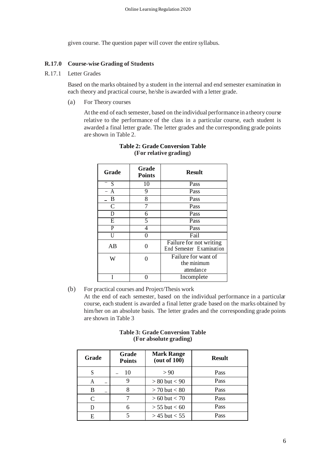given course. The question paper will cover the entire syllabus.

## **R.17.0 Course-wise Grading of Students**

R.17.1 Letter Grades

Based on the marks obtained by a student in the internal and end semester examination in each theory and practical course, he/she is awarded with a letter grade.

(a) For Theory courses

At the end of each semester, based on the individual performance in a theory course relative to the performance of the class in a particular course, each student is awarded a final letter grade. The letter grades and the corresponding grade points are shown in Table 2.

| <b>Grade</b>   | Grade<br><b>Points</b> | <b>Result</b>                                       |
|----------------|------------------------|-----------------------------------------------------|
| S              | $\overline{10}$        | Pass                                                |
| $\overline{A}$ | 9                      | Pass                                                |
| B              | 8                      | Pass                                                |
| C              | 7                      | Pass                                                |
| D              | 6                      | Pass                                                |
| $\overline{E}$ | 5                      | Pass                                                |
| P              | 4                      | Pass                                                |
| H              | 0                      | Fail                                                |
| AB             |                        | Failure for not writing<br>End Semester Examination |
| W              |                        | Failure for want of                                 |
|                |                        | the minimum                                         |
|                |                        | attendance                                          |
|                |                        | Incomplete                                          |

## **Table 2: Grade Conversion Table (For relative grading)**

(b) For practical courses and Project/Thesis work

At the end of each semester, based on the individual performance in a particular course, each student is awarded a final letter grade based on the marks obtained by him/her on an absolute basis. The letter grades and the corresponding grade points are shown in Table 3

#### **Table 3: Grade Conversion Table (For absolute grading)**

| Grade     | Grade<br><b>Points</b> | <b>Mark Range</b><br>(out of 100) | <b>Result</b> |
|-----------|------------------------|-----------------------------------|---------------|
| S         | 10                     | > 90                              | <b>Pass</b>   |
| А         | 9                      | $> 80$ but $< 90$                 | Pass          |
| B         | 8                      | $> 70$ but $< 80$                 | Pass          |
| $\subset$ |                        | $> 60$ but $< 70$                 | Pass          |
| D         | 6                      | $> 55$ but $< 60$                 | Pass          |
| E         |                        | $>$ 45 but $<$ 55                 | Pass          |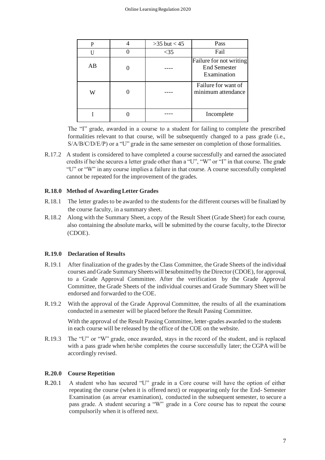|    | $>35$ but $< 45$ | Pass                                                          |
|----|------------------|---------------------------------------------------------------|
|    | $<$ 35           | Fail                                                          |
| AB |                  | Failure for not writing<br><b>End Semester</b><br>Examination |
| W  |                  | Failure for want of<br>minimum attendance                     |
|    |                  | Incomplete                                                    |

The "I" grade, awarded in a course to a student for failing to complete the prescribed formalities relevant to that course, will be subsequently changed to a pass grade (i.e., S/A/B/C/D/E/P) or a "U" grade in the same semester on completion of those formalities.

R.17.2 A student is considered to have completed a course successfully and earned the associated credits if he/she secures a letter grade other than a "U", "W" or "I" in that course. The grade "U" or "W" in any course implies a failure in that course. A course successfully completed cannot be repeated for the improvement of the grades.

## **R.18.0 Method of Awarding Letter Grades**

- R.18.1 The letter grades to be awarded to the students for the different courses will be finalized by the course faculty, in a summary sheet.
- R.18.2 Along with the Summary Sheet, a copy of the Result Sheet (Grade Sheet) for each course, also containing the absolute marks, will be submitted by the course faculty, to the Director (CDOE).

## **R.19.0 Declaration of Results**

- R.19.1 After finalization of the grades by the Class Committee, the Grade Sheets of the individual courses and Grade Summary Sheets will be submitted by the Director (CDOE), for approval, to a Grade Approval Committee. After the verification by the Grade Approval Committee, the Grade Sheets of the individual courses and Grade Summary Sheet will be endorsed and forwarded to the COE.
- R.19.2 With the approval of the Grade Approval Committee, the results of all the examinations conducted in a semester will be placed before the Result Passing Committee.

With the approval of the Result Passing Committee, letter-grades awarded to the students in each course will be released by the office of the COE on the website.

R.19.3 The "U" or "W" grade, once awarded, stays in the record of the student, and is replaced with a pass grade when he/she completes the course successfully later; the CGPA will be accordingly revised.

## **R.20.0 Course Repetition**

R.20.1 A student who has secured "U" grade in a Core course will have the option of either repeating the course (when it is offered next) or reappearing only for the End- Semester Examination (as arrear examination), conducted in the subsequent semester, to secure a pass grade. A student securing a "W" grade in a Core course has to repeat the course compulsorily when it is offered next.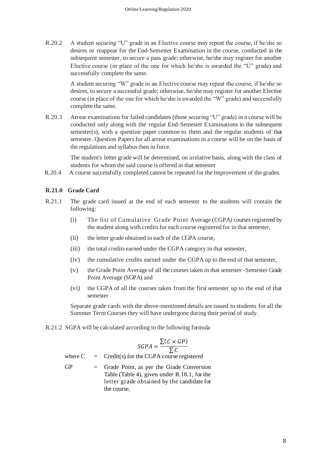R.20.2 A student securing "U" grade in an Elective course may repeat the course, if he/she so desires or reappear for the End-Semester Examination in the course, conducted in the subsequent semester, to secure a pass grade; otherwise, he/she may register for another Elective course (in place of the one for which he/she is awarded the "U" grade) and successfully complete the same.

> A student securing "W" grade in an Elective course may repeat the course, if he/she so desires, to secure a successful grade; otherwise, he/she may register for another Elective course (in place of the one for which he/she is awarded the "W" grade) and successfully complete the same.

R.20.3 Arrear examinations for failed candidates (those securing "U" grade) in a course will be conducted only along with the regular End-Semester Examinations in the subsequent semester(s), with a question paper common to them and the regular students of that semester. Question Papers for all arrear examinations in a course will be on the basis of the regulations and syllabus then in force.

> The student's letter grade will be determined, on a relative basis, along with the class of students for whom the said course is offered in that semester

R.20.4 A course successfully completed cannot be repeated for the improvement of the grades.

## **R.21.0 Grade Card**

- R.21.1 The grade card issued at the end of each semester to the students will contain the following:
	- (i) The list of Cumulative Grade Point Average (CGPA) coursesregistered by the student along with credits for each course registered for in that semester,
	- (ii) the letter grade obtained in each of the CGPA course,
	- (iii) the total credits earned under the CGPA category in that semester,
	- (iv) the cumulative credits earned under the CGPA up to the end of that semester,
	- (v) the Grade Point Average of all the courses taken in that semester -Semester Grade Point Average (SGPA) and
	- (vi) the CGPA of all the courses taken from the first semester up to the end of that semester

Separate grade cards with the above-mentioned details are issued to students for all the Summer Term Courses they will have undergone during their period of study.

R.21.2 SGPA will be calculated according to the following formula

$$
SGPA = \frac{\sum (C \times GP)}{\sum C}
$$

where  $C = C$  redit(s) for the CGPA course registered

GP = Grade Point, as per the Grade Conversion Table (Table 4), given under R.18.1, for the letter grade obtained by the candidate for the course,